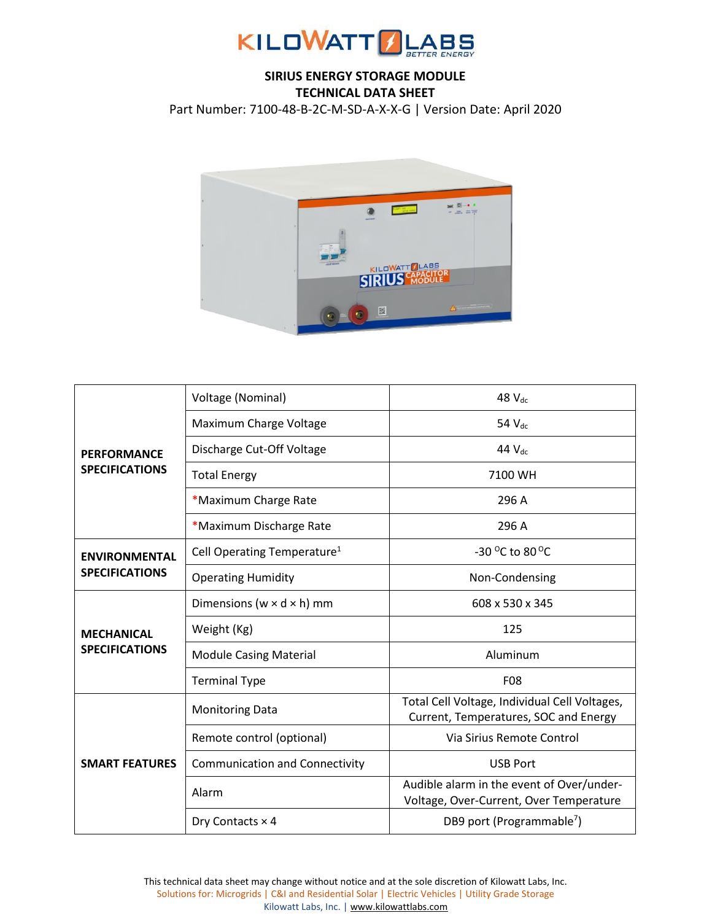

## **SIRIUS ENERGY STORAGE MODULE TECHNICAL DATA SHEET**

Part Number: 7100-48-B-2C-M-SD-A-X-X-G | Version Date: April 2020



|                                               | Voltage (Nominal)                       | 48 $V_{dc}$                                                                            |
|-----------------------------------------------|-----------------------------------------|----------------------------------------------------------------------------------------|
| <b>PERFORMANCE</b><br><b>SPECIFICATIONS</b>   | Maximum Charge Voltage                  | 54 V <sub>dc</sub>                                                                     |
|                                               | Discharge Cut-Off Voltage               | 44 $V_{dc}$                                                                            |
|                                               | <b>Total Energy</b>                     | 7100 WH                                                                                |
|                                               | *Maximum Charge Rate                    | 296 A                                                                                  |
|                                               | *Maximum Discharge Rate                 | 296 A                                                                                  |
| <b>ENVIRONMENTAL</b><br><b>SPECIFICATIONS</b> | Cell Operating Temperature <sup>1</sup> | -30 $^{\circ}$ C to 80 $^{\circ}$ C                                                    |
|                                               | <b>Operating Humidity</b>               | Non-Condensing                                                                         |
| <b>MECHANICAL</b><br><b>SPECIFICATIONS</b>    | Dimensions ( $w \times d \times h$ ) mm | 608 x 530 x 345                                                                        |
|                                               | Weight (Kg)                             | 125                                                                                    |
|                                               | <b>Module Casing Material</b>           | Aluminum                                                                               |
|                                               | <b>Terminal Type</b>                    | F08                                                                                    |
| <b>SMART FEATURES</b>                         | <b>Monitoring Data</b>                  | Total Cell Voltage, Individual Cell Voltages,<br>Current, Temperatures, SOC and Energy |
|                                               | Remote control (optional)               | Via Sirius Remote Control                                                              |
|                                               | <b>Communication and Connectivity</b>   | <b>USB Port</b>                                                                        |
|                                               | Alarm                                   | Audible alarm in the event of Over/under-<br>Voltage, Over-Current, Over Temperature   |
|                                               | Dry Contacts $\times$ 4                 | DB9 port (Programmable <sup>7</sup> )                                                  |

This technical data sheet may change without notice and at the sole discretion of Kilowatt Labs, Inc. Solutions for: Microgrids | C&I and Residential Solar | Electric Vehicles | Utility Grade Storage Kilowatt Labs, Inc. [| www.kilowattlabs.com](http://www.kilowattlabs.com/)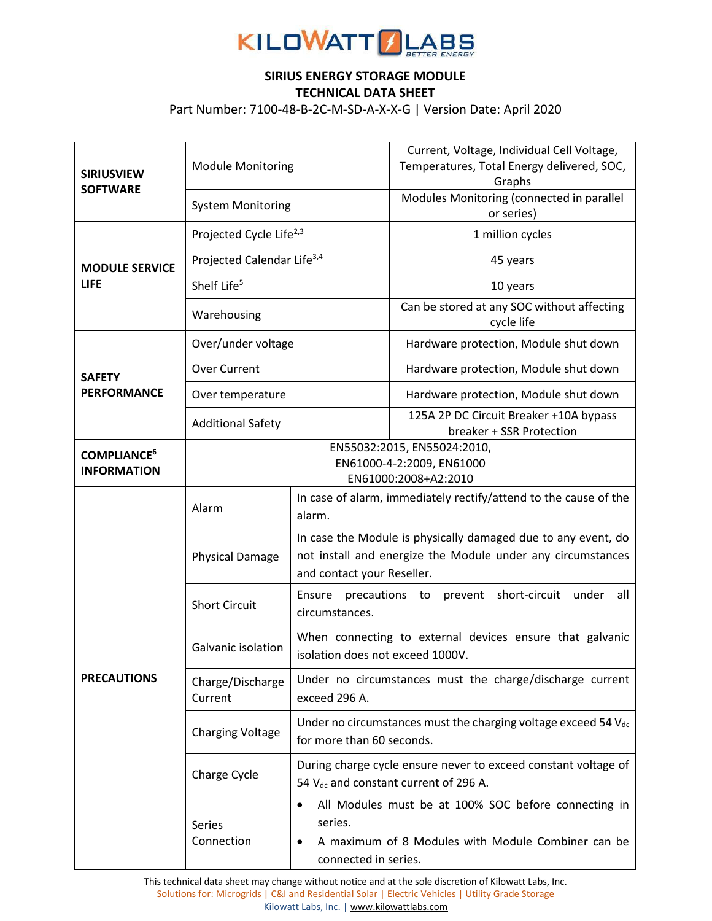

## **SIRIUS ENERGY STORAGE MODULE TECHNICAL DATA SHEET**

Part Number: 7100-48-B-2C-M-SD-A-X-X-G | Version Date: April 2020

| <b>SIRIUSVIEW</b><br><b>SOFTWARE</b>                | <b>Module Monitoring</b>                                                                                           |                                                                                                                                                            | Current, Voltage, Individual Cell Voltage,<br>Temperatures, Total Energy delivered, SOC,<br>Graphs         |
|-----------------------------------------------------|--------------------------------------------------------------------------------------------------------------------|------------------------------------------------------------------------------------------------------------------------------------------------------------|------------------------------------------------------------------------------------------------------------|
|                                                     | <b>System Monitoring</b>                                                                                           |                                                                                                                                                            | Modules Monitoring (connected in parallel<br>or series)                                                    |
| <b>MODULE SERVICE</b><br><b>LIFE</b>                | Projected Cycle Life <sup>2,3</sup>                                                                                |                                                                                                                                                            | 1 million cycles                                                                                           |
|                                                     | Projected Calendar Life <sup>3,4</sup>                                                                             |                                                                                                                                                            | 45 years                                                                                                   |
|                                                     | Shelf Life <sup>5</sup>                                                                                            |                                                                                                                                                            | 10 years                                                                                                   |
|                                                     | Warehousing                                                                                                        |                                                                                                                                                            | Can be stored at any SOC without affecting<br>cycle life                                                   |
| <b>SAFETY</b><br><b>PERFORMANCE</b>                 | Over/under voltage                                                                                                 |                                                                                                                                                            | Hardware protection, Module shut down                                                                      |
|                                                     | <b>Over Current</b>                                                                                                |                                                                                                                                                            | Hardware protection, Module shut down                                                                      |
|                                                     | Over temperature                                                                                                   |                                                                                                                                                            | Hardware protection, Module shut down                                                                      |
|                                                     | <b>Additional Safety</b>                                                                                           |                                                                                                                                                            | 125A 2P DC Circuit Breaker +10A bypass<br>breaker + SSR Protection                                         |
| <b>COMPLIANCE<sup>6</sup></b><br><b>INFORMATION</b> | EN55032:2015, EN55024:2010,<br>EN61000-4-2:2009, EN61000<br>EN61000:2008+A2:2010                                   |                                                                                                                                                            |                                                                                                            |
|                                                     | Alarm                                                                                                              | alarm.                                                                                                                                                     | In case of alarm, immediately rectify/attend to the cause of the                                           |
|                                                     | <b>Physical Damage</b>                                                                                             | In case the Module is physically damaged due to any event, do<br>not install and energize the Module under any circumstances<br>and contact your Reseller. |                                                                                                            |
|                                                     | <b>Short Circuit</b>                                                                                               | Ensure precautions to<br>short-circuit<br>under<br>prevent<br>all<br>circumstances.                                                                        |                                                                                                            |
|                                                     | When connecting to external devices ensure that galvanic<br>Galvanic isolation<br>isolation does not exceed 1000V. |                                                                                                                                                            |                                                                                                            |
| <b>PRECAUTIONS</b>                                  | Charge/Discharge<br>Current                                                                                        | Under no circumstances must the charge/discharge current<br>exceed 296 A.                                                                                  |                                                                                                            |
|                                                     | <b>Charging Voltage</b>                                                                                            | Under no circumstances must the charging voltage exceed 54 Vdc<br>for more than 60 seconds.                                                                |                                                                                                            |
|                                                     | Charge Cycle                                                                                                       | During charge cycle ensure never to exceed constant voltage of<br>54 V <sub>dc</sub> and constant current of 296 A.                                        |                                                                                                            |
|                                                     | Series<br>Connection                                                                                               | series.<br>connected in series.                                                                                                                            | All Modules must be at 100% SOC before connecting in<br>A maximum of 8 Modules with Module Combiner can be |

This technical data sheet may change without notice and at the sole discretion of Kilowatt Labs, Inc. Solutions for: Microgrids | C&I and Residential Solar | Electric Vehicles | Utility Grade Storage Kilowatt Labs, Inc. [| www.kilowattlabs.com](http://www.kilowattlabs.com/)